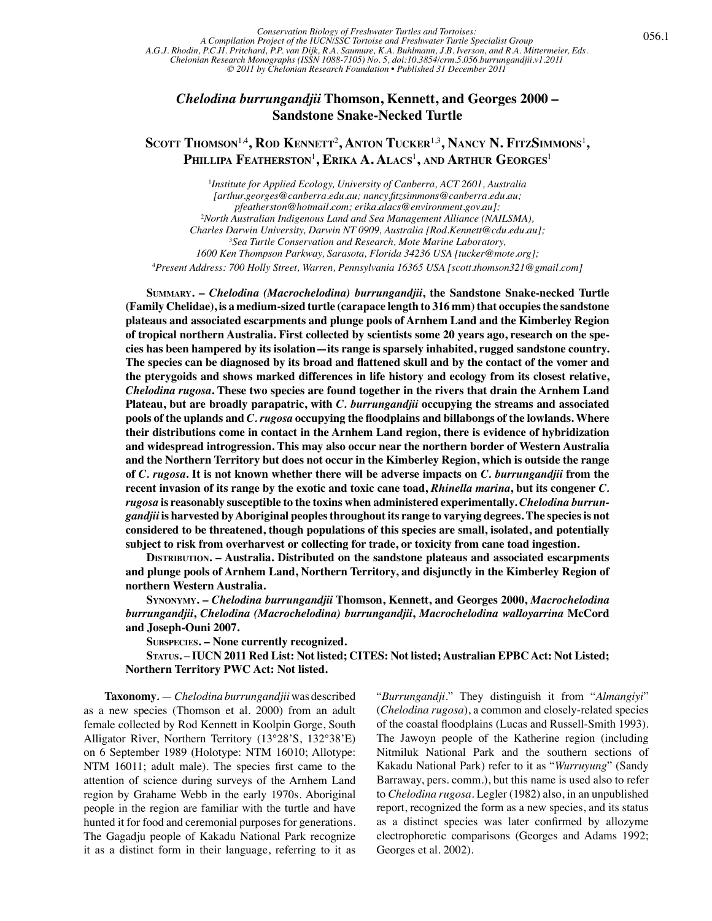## *Chelodina burrungandjii* **Thomson, Kennett, and Georges 2000 – Sandstone Snake-Necked Turtle**

## Scott Thomson<sup>1,4</sup>, Rod Kennett<sup>2</sup>, Anton Tucker<sup>1,3</sup>, Nancy N. FitzSimmons<sup>1</sup>, **Phillipa Featherston**<sup>1</sup> **, Erika A. Alacs**<sup>1</sup> **, and Arthur Georges**<sup>1</sup>

<sup>1</sup>Institute for Applied Ecology, University of Canberra, ACT 2601, Australia *[arthur.georges@canberra.edu.au; nancy.fitzsimmons@canberra.edu.au; pfeatherston@hotmail.com; erika.alacs@environment.gov.au];* 2 *North Australian Indigenous Land and Sea Management Alliance (NAILSMA), Charles Darwin University, Darwin NT 0909, Australia [Rod.Kennett@cdu.edu.au];* 3 *Sea Turtle Conservation and Research, Mote Marine Laboratory, 1600 Ken Thompson Parkway, Sarasota, Florida 34236 USA [tucker@mote.org];* 4 *Present Address: 700 Holly Street, Warren, Pennsylvania 16365 USA [scott.thomson321@gmail.com]*

**Summary. –** *Chelodina (Macrochelodina) burrungandjii***, the Sandstone Snake-necked Turtle (Family Chelidae), is a medium-sized turtle (carapace length to 316 mm) that occupies the sandstone plateaus and associated escarpments and plunge pools of Arnhem Land and the Kimberley Region of tropical northern Australia. First collected by scientists some 20 years ago, research on the species has been hampered by its isolation—its range is sparsely inhabited, rugged sandstone country. The species can be diagnosed by its broad and flattened skull and by the contact of the vomer and the pterygoids and shows marked differences in life history and ecology from its closest relative,**  *Chelodina rugosa***. These two species are found together in the rivers that drain the Arnhem Land Plateau, but are broadly parapatric, with** *C. burrungandjii* **occupying the streams and associated pools of the uplands and** *C. rugosa* **occupying the floodplains and billabongs of the lowlands. Where their distributions come in contact in the Arnhem Land region, there is evidence of hybridization and widespread introgression. This may also occur near the northern border of Western Australia and the Northern Territory but does not occur in the Kimberley Region, which is outside the range of** *C. rugosa***. It is not known whether there will be adverse impacts on** *C. burrungandjii* **from the recent invasion of its range by the exotic and toxic cane toad,** *Rhinella marina***, but its congener** *C. rugosa* **is reasonably susceptible to the toxins when administered experimentally.** *Chelodina burrungandjii* **is harvested by Aboriginal peoples throughout its range to varying degrees. The species is not considered to be threatened, though populations of this species are small, isolated, and potentially subject to risk from overharvest or collecting for trade, or toxicity from cane toad ingestion.**

**DISTRIBUTION. – Australia. Distributed on the sandstone plateaus and associated escarpments and plunge pools of Arnhem Land, Northern Territory, and disjunctly in the Kimberley Region of northern Western Australia.** 

**Synonymy. –** *Chelodina burrungandjii* **Thomson, Kennett, and Georges 2000,** *Macrochelodina burrungandjii***,** *Chelodina (Macrochelodina) burrungandjii***,** *Macrochelodina walloyarrina* **McCord and Joseph-Ouni 2007.**

**Subspecies. – None currently recognized.** 

**Status.** – **IUCN 2011 Red List: Not listed; CITES: Not listed; Australian EPBC Act: Not Listed; Northern Territory PWC Act: Not listed.** 

**Taxonomy***.*— *Chelodina burrungandjii* was described as a new species (Thomson et al. 2000) from an adult female collected by Rod Kennett in Koolpin Gorge, South Alligator River, Northern Territory (13°28'S, 132°38'E) on 6 September 1989 (Holotype: NTM 16010; Allotype: NTM 16011; adult male). The species first came to the attention of science during surveys of the Arnhem Land region by Grahame Webb in the early 1970s. Aboriginal people in the region are familiar with the turtle and have hunted it for food and ceremonial purposes for generations. The Gagadju people of Kakadu National Park recognize it as a distinct form in their language, referring to it as

"*Burrungandji*." They distinguish it from "*Almangiyi*" (*Chelodina rugosa*), a common and closely-related species of the coastal floodplains (Lucas and Russell-Smith 1993). The Jawoyn people of the Katherine region (including Nitmiluk National Park and the southern sections of Kakadu National Park) refer to it as "*Wurruyung*" (Sandy Barraway, pers. comm.), but this name is used also to refer to *Chelodina rugosa*. Legler (1982) also, in an unpublished report, recognized the form as a new species, and its status as a distinct species was later confirmed by allozyme electrophoretic comparisons (Georges and Adams 1992; Georges et al. 2002).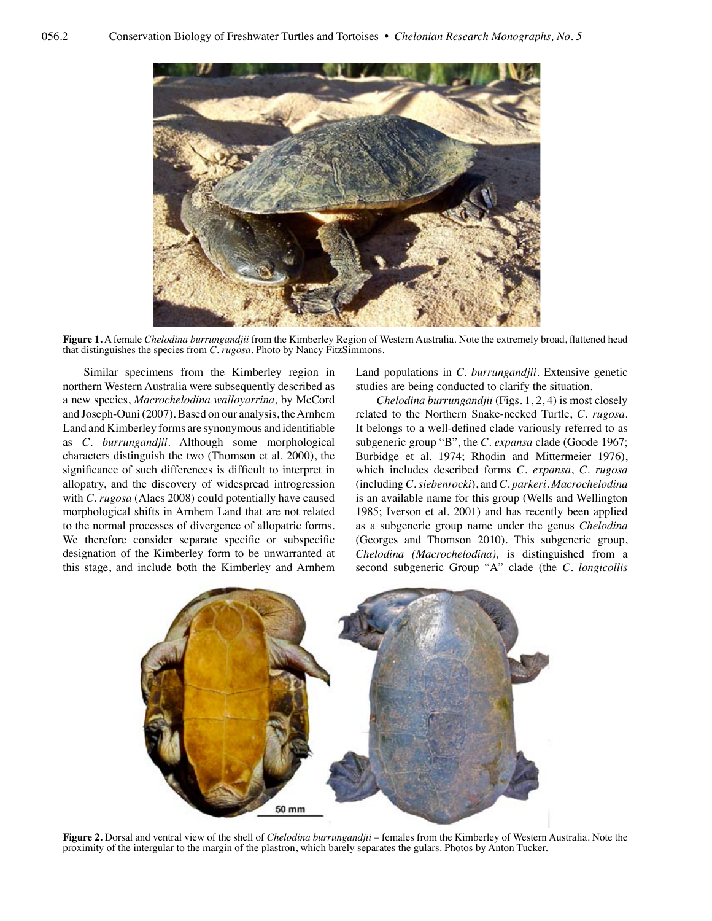

**Figure 1.** A female *Chelodina burrungandjii* from the Kimberley Region of Western Australia. Note the extremely broad, flattened head that distinguishes the species from *C. rugosa*. Photo by Nancy FitzSimmons.

Similar specimens from the Kimberley region in northern Western Australia were subsequently described as a new species, *Macrochelodina walloyarrina,* by McCord and Joseph-Ouni (2007). Based on our analysis, the Arnhem Land and Kimberley forms are synonymous and identifiable as *C. burrungandjii*. Although some morphological characters distinguish the two (Thomson et al. 2000), the significance of such differences is difficult to interpret in allopatry, and the discovery of widespread introgression with *C. rugosa* (Alacs 2008) could potentially have caused morphological shifts in Arnhem Land that are not related to the normal processes of divergence of allopatric forms. We therefore consider separate specific or subspecific designation of the Kimberley form to be unwarranted at this stage, and include both the Kimberley and Arnhem

Land populations in *C. burrungandjii*. Extensive genetic studies are being conducted to clarify the situation.

*Chelodina burrungandjii* (Figs. 1, 2, 4) is most closely related to the Northern Snake-necked Turtle, *C. rugosa*. It belongs to a well-defined clade variously referred to as subgeneric group "B", the *C. expansa* clade (Goode 1967; Burbidge et al. 1974; Rhodin and Mittermeier 1976), which includes described forms *C. expansa*, *C. rugosa* (including *C. siebenrocki*), and *C. parkeri*. *Macrochelodina* is an available name for this group (Wells and Wellington 1985; Iverson et al. 2001) and has recently been applied as a subgeneric group name under the genus *Chelodina* (Georges and Thomson 2010). This subgeneric group, *Chelodina (Macrochelodina),* is distinguished from a second subgeneric Group "A" clade (the *C. longicollis*



**Figure 2.** Dorsal and ventral view of the shell of *Chelodina burrungandjii* – females from the Kimberley of Western Australia. Note the proximity of the intergular to the margin of the plastron, which barely separates the gulars. Photos by Anton Tucker.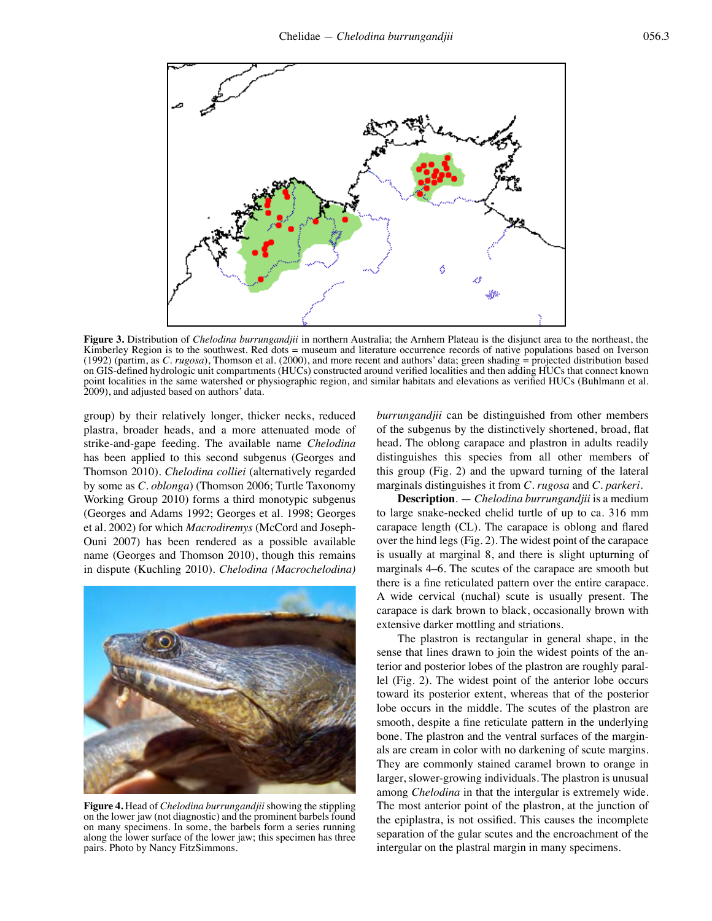

**Figure 3.** Distribution of *Chelodina burrungandjii* in northern Australia; the Arnhem Plateau is the disjunct area to the northeast, the Kimberley Region is to the southwest. Red dots = museum and literature occurrence records of native populations based on Iverson (1992) (partim, as *C. rugosa*), Thomson et al. (2000), and more recent and authors' data; green shading  $=$  projected distribution based on GIS-defined hydrologic unit compartments (HUCs) constructed around verified localities and then adding HUCs that connect known point localities in the same watershed or physiographic region, and similar habitats and elevations as verified HUCs (Buhlmann et al. 2009), and adjusted based on authors' data.

group) by their relatively longer, thicker necks, reduced plastra, broader heads, and a more attenuated mode of strike-and-gape feeding. The available name *Chelodina* has been applied to this second subgenus (Georges and Thomson 2010). *Chelodina colliei* (alternatively regarded by some as *C. oblonga*) (Thomson 2006; Turtle Taxonomy Working Group 2010) forms a third monotypic subgenus (Georges and Adams 1992; Georges et al. 1998; Georges et al. 2002) for which *Macrodiremys* (McCord and Joseph-Ouni 2007) has been rendered as a possible available name (Georges and Thomson 2010), though this remains in dispute (Kuchling 2010). *Chelodina (Macrochelodina)* 



**Figure 4.** Head of *Chelodina burrungandjii* showing the stippling on the lower jaw (not diagnostic) and the prominent barbels found on many specimens. In some, the barbels form a series running along the lower surface of the lower jaw; this specimen has three pairs. Photo by Nancy FitzSimmons.

*burrungandjii* can be distinguished from other members of the subgenus by the distinctively shortened, broad, flat head. The oblong carapace and plastron in adults readily distinguishes this species from all other members of this group (Fig. 2) and the upward turning of the lateral marginals distinguishes it from *C. rugosa* and *C. parkeri*.

**Description**. — *Chelodina burrungandjii* is a medium to large snake-necked chelid turtle of up to ca. 316 mm carapace length (CL). The carapace is oblong and flared over the hind legs (Fig. 2). The widest point of the carapace is usually at marginal 8, and there is slight upturning of marginals 4–6. The scutes of the carapace are smooth but there is a fine reticulated pattern over the entire carapace. A wide cervical (nuchal) scute is usually present. The carapace is dark brown to black, occasionally brown with extensive darker mottling and striations.

The plastron is rectangular in general shape, in the sense that lines drawn to join the widest points of the anterior and posterior lobes of the plastron are roughly parallel (Fig. 2). The widest point of the anterior lobe occurs toward its posterior extent, whereas that of the posterior lobe occurs in the middle. The scutes of the plastron are smooth, despite a fine reticulate pattern in the underlying bone. The plastron and the ventral surfaces of the marginals are cream in color with no darkening of scute margins. They are commonly stained caramel brown to orange in larger, slower-growing individuals. The plastron is unusual among *Chelodina* in that the intergular is extremely wide. The most anterior point of the plastron, at the junction of the epiplastra, is not ossified. This causes the incomplete separation of the gular scutes and the encroachment of the intergular on the plastral margin in many specimens.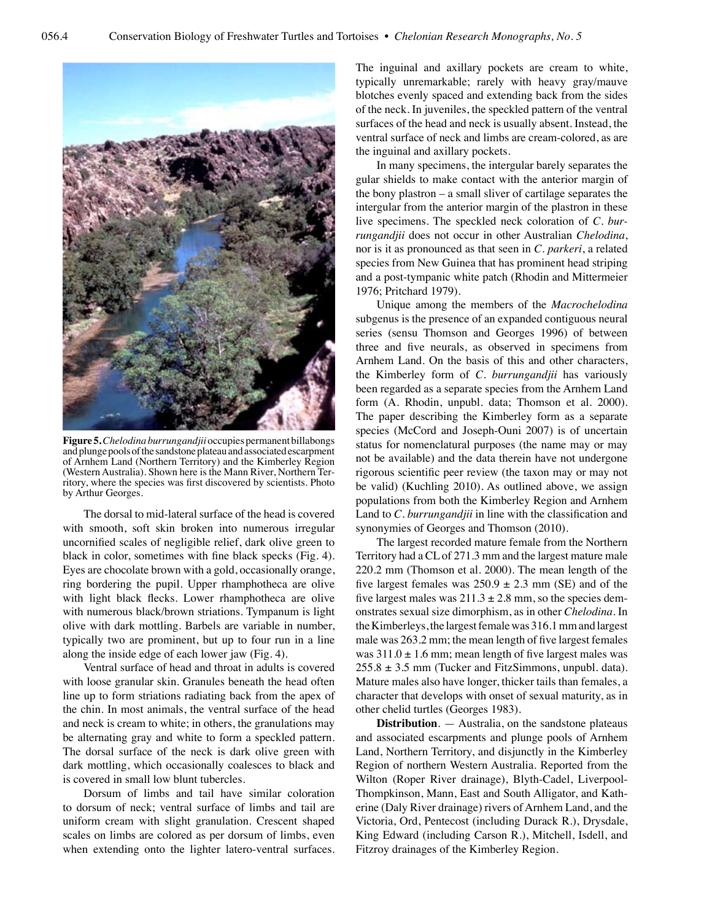

**Figure 5.***Chelodina burrungandjii* occupies permanent billabongs and plunge pools of the sandstone plateau and associated escarpment of Arnhem Land (Northern Territory) and the Kimberley Region (Western Australia). Shown here is the Mann River, Northern Territory, where the species was first discovered by scientists. Photo by Arthur Georges.

The dorsal to mid-lateral surface of the head is covered with smooth, soft skin broken into numerous irregular uncornified scales of negligible relief, dark olive green to black in color, sometimes with fine black specks (Fig. 4). Eyes are chocolate brown with a gold, occasionally orange, ring bordering the pupil. Upper rhamphotheca are olive with light black flecks. Lower rhamphotheca are olive with numerous black/brown striations. Tympanum is light olive with dark mottling. Barbels are variable in number, typically two are prominent, but up to four run in a line along the inside edge of each lower jaw (Fig. 4).

Ventral surface of head and throat in adults is covered with loose granular skin. Granules beneath the head often line up to form striations radiating back from the apex of the chin. In most animals, the ventral surface of the head and neck is cream to white; in others, the granulations may be alternating gray and white to form a speckled pattern. The dorsal surface of the neck is dark olive green with dark mottling, which occasionally coalesces to black and is covered in small low blunt tubercles.

Dorsum of limbs and tail have similar coloration to dorsum of neck; ventral surface of limbs and tail are uniform cream with slight granulation. Crescent shaped scales on limbs are colored as per dorsum of limbs, even when extending onto the lighter latero-ventral surfaces. The inguinal and axillary pockets are cream to white, typically unremarkable; rarely with heavy gray/mauve blotches evenly spaced and extending back from the sides of the neck. In juveniles, the speckled pattern of the ventral surfaces of the head and neck is usually absent. Instead, the ventral surface of neck and limbs are cream-colored, as are the inguinal and axillary pockets.

In many specimens, the intergular barely separates the gular shields to make contact with the anterior margin of the bony plastron – a small sliver of cartilage separates the intergular from the anterior margin of the plastron in these live specimens. The speckled neck coloration of *C. burrungandjii* does not occur in other Australian *Chelodina*, nor is it as pronounced as that seen in *C. parkeri*, a related species from New Guinea that has prominent head striping and a post-tympanic white patch (Rhodin and Mittermeier 1976; Pritchard 1979).

Unique among the members of the *Macrochelodina*  subgenus is the presence of an expanded contiguous neural series (sensu Thomson and Georges 1996) of between three and five neurals, as observed in specimens from Arnhem Land. On the basis of this and other characters, the Kimberley form of *C. burrungandjii* has variously been regarded as a separate species from the Arnhem Land form (A. Rhodin, unpubl. data; Thomson et al. 2000). The paper describing the Kimberley form as a separate species (McCord and Joseph-Ouni 2007) is of uncertain status for nomenclatural purposes (the name may or may not be available) and the data therein have not undergone rigorous scientific peer review (the taxon may or may not be valid) (Kuchling 2010). As outlined above, we assign populations from both the Kimberley Region and Arnhem Land to *C. burrungandjii* in line with the classification and synonymies of Georges and Thomson (2010).

The largest recorded mature female from the Northern Territory had a CL of 271.3 mm and the largest mature male 220.2 mm (Thomson et al. 2000). The mean length of the five largest females was  $250.9 \pm 2.3$  mm (SE) and of the five largest males was  $211.3 \pm 2.8$  mm, so the species demonstrates sexual size dimorphism, as in other *Chelodina*. In the Kimberleys, the largest female was 316.1 mm and largest male was 263.2 mm; the mean length of five largest females was  $311.0 \pm 1.6$  mm; mean length of five largest males was  $255.8 \pm 3.5$  mm (Tucker and FitzSimmons, unpubl. data). Mature males also have longer, thicker tails than females, a character that develops with onset of sexual maturity, as in other chelid turtles (Georges 1983).

**Distribution**. — Australia, on the sandstone plateaus and associated escarpments and plunge pools of Arnhem Land, Northern Territory, and disjunctly in the Kimberley Region of northern Western Australia. Reported from the Wilton (Roper River drainage), Blyth-Cadel, Liverpool-Thompkinson, Mann, East and South Alligator, and Katherine (Daly River drainage) rivers of Arnhem Land, and the Victoria, Ord, Pentecost (including Durack R.), Drysdale, King Edward (including Carson R.), Mitchell, Isdell, and Fitzroy drainages of the Kimberley Region.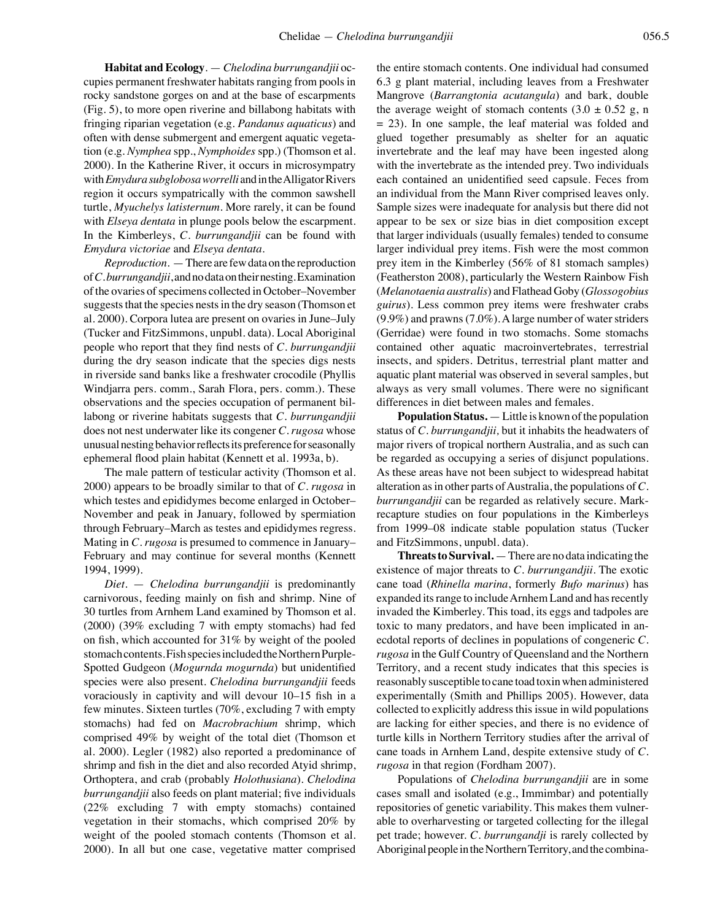**Habitat and Ecology**. — *Chelodina burrungandjii* occupies permanent freshwater habitats ranging from pools in rocky sandstone gorges on and at the base of escarpments (Fig. 5), to more open riverine and billabong habitats with fringing riparian vegetation (e.g. *Pandanus aquaticus*) and often with dense submergent and emergent aquatic vegetation (e.g. *Nymphea* spp., *Nymphoides* spp.) (Thomson et al. 2000). In the Katherine River, it occurs in microsympatry with *Emydura subglobosaworrelli* and in the Alligator Rivers region it occurs sympatrically with the common sawshell turtle, *Myuchelys latisternum*. More rarely, it can be found with *Elseya dentata* in plunge pools below the escarpment. In the Kimberleys, *C. burrungandjii* can be found with *Emydura victoriae* and *Elseya dentata*.

*Reproduction.* —There are few data on the reproduction of *C. burrungandjii*, and no data on their nesting. Examination of the ovaries of specimens collected in October–November suggests that the species nests in the dry season (Thomson et al. 2000). Corpora lutea are present on ovaries in June–July (Tucker and FitzSimmons, unpubl. data). Local Aboriginal people who report that they find nests of *C. burrungandjii* during the dry season indicate that the species digs nests in riverside sand banks like a freshwater crocodile (Phyllis Windjarra pers. comm., Sarah Flora, pers. comm.). These observations and the species occupation of permanent billabong or riverine habitats suggests that *C. burrungandjii* does not nest underwater like its congener *C. rugosa* whose unusual nesting behavior reflects its preference for seasonally ephemeral flood plain habitat (Kennett et al. 1993a, b).

The male pattern of testicular activity (Thomson et al. 2000) appears to be broadly similar to that of *C. rugosa* in which testes and epididymes become enlarged in October– November and peak in January, followed by spermiation through February–March as testes and epididymes regress. Mating in *C. rugosa* is presumed to commence in January– February and may continue for several months (Kennett 1994, 1999).

*Diet*. — *Chelodina burrungandjii* is predominantly carnivorous, feeding mainly on fish and shrimp. Nine of 30 turtles from Arnhem Land examined by Thomson et al. (2000) (39% excluding 7 with empty stomachs) had fed on fish, which accounted for 31% by weight of the pooled stomach contents. Fish species included the Northern Purple-Spotted Gudgeon (*Mogurnda mogurnda*) but unidentified species were also present. *Chelodina burrungandjii* feeds voraciously in captivity and will devour 10–15 fish in a few minutes. Sixteen turtles (70%, excluding 7 with empty stomachs) had fed on *Macrobrachium* shrimp, which comprised 49% by weight of the total diet (Thomson et al. 2000). Legler (1982) also reported a predominance of shrimp and fish in the diet and also recorded Atyid shrimp, Orthoptera, and crab (probably *Holothusiana*). *Chelodina burrungandjii* also feeds on plant material; five individuals (22% excluding 7 with empty stomachs) contained vegetation in their stomachs, which comprised 20% by weight of the pooled stomach contents (Thomson et al. 2000). In all but one case, vegetative matter comprised

the entire stomach contents. One individual had consumed 6.3 g plant material, including leaves from a Freshwater Mangrove (*Barrangtonia acutangula*) and bark, double the average weight of stomach contents  $(3.0 \pm 0.52 \text{ g}, \text{m})$ = 23). In one sample, the leaf material was folded and glued together presumably as shelter for an aquatic invertebrate and the leaf may have been ingested along with the invertebrate as the intended prey. Two individuals each contained an unidentified seed capsule. Feces from an individual from the Mann River comprised leaves only. Sample sizes were inadequate for analysis but there did not appear to be sex or size bias in diet composition except that larger individuals (usually females) tended to consume larger individual prey items. Fish were the most common prey item in the Kimberley (56% of 81 stomach samples) (Featherston 2008), particularly the Western Rainbow Fish (*Melanotaenia australis*) and Flathead Goby (*Glossogobius guirus*). Less common prey items were freshwater crabs (9.9%) and prawns (7.0%). A large number of water striders (Gerridae) were found in two stomachs. Some stomachs contained other aquatic macroinvertebrates, terrestrial insects, and spiders. Detritus, terrestrial plant matter and aquatic plant material was observed in several samples, but always as very small volumes. There were no significant differences in diet between males and females.

**Population Status.** —Little is known of the population status of *C. burrungandjii,* but it inhabits the headwaters of major rivers of tropical northern Australia, and as such can be regarded as occupying a series of disjunct populations. As these areas have not been subject to widespread habitat alteration as in other parts of Australia, the populations of *C. burrungandjii* can be regarded as relatively secure. Markrecapture studies on four populations in the Kimberleys from 1999–08 indicate stable population status (Tucker and FitzSimmons, unpubl. data).

**Threats to Survival.** — There are no data indicating the existence of major threats to *C. burrungandjii*. The exotic cane toad (*Rhinella marina*, formerly *Bufo marinus*) has expanded its range to include Arnhem Land and has recently invaded the Kimberley. This toad, its eggs and tadpoles are toxic to many predators, and have been implicated in anecdotal reports of declines in populations of congeneric *C. rugosa* in the Gulf Country of Queensland and the Northern Territory, and a recent study indicates that this species is reasonably susceptible to cane toad toxin when administered experimentally (Smith and Phillips 2005). However, data collected to explicitly address this issue in wild populations are lacking for either species, and there is no evidence of turtle kills in Northern Territory studies after the arrival of cane toads in Arnhem Land, despite extensive study of *C. rugosa* in that region (Fordham 2007).

Populations of *Chelodina burrungandjii* are in some cases small and isolated (e.g., Immimbar) and potentially repositories of genetic variability. This makes them vulnerable to overharvesting or targeted collecting for the illegal pet trade; however. *C. burrungandji* is rarely collected by Aboriginal people in the Northern Territory, and the combina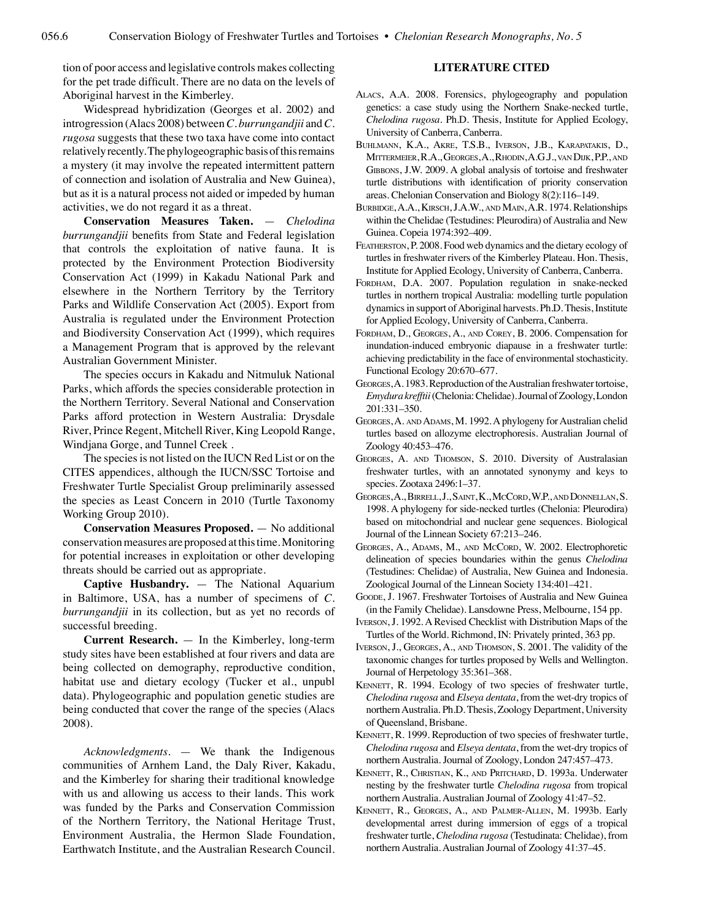tion of poor access and legislative controls makes collecting for the pet trade difficult. There are no data on the levels of Aboriginal harvest in the Kimberley.

Widespread hybridization (Georges et al. 2002) and introgression (Alacs 2008) between *C. burrungandjii* and *C. rugosa* suggests that these two taxa have come into contact relatively recently. The phylogeographic basis of this remains a mystery (it may involve the repeated intermittent pattern of connection and isolation of Australia and New Guinea), but as it is a natural process not aided or impeded by human activities, we do not regard it as a threat.

**Conservation Measures Taken.** — *Chelodina burrungandjii* benefits from State and Federal legislation that controls the exploitation of native fauna. It is protected by the Environment Protection Biodiversity Conservation Act (1999) in Kakadu National Park and elsewhere in the Northern Territory by the Territory Parks and Wildlife Conservation Act (2005). Export from Australia is regulated under the Environment Protection and Biodiversity Conservation Act (1999), which requires a Management Program that is approved by the relevant Australian Government Minister.

The species occurs in Kakadu and Nitmuluk National Parks, which affords the species considerable protection in the Northern Territory. Several National and Conservation Parks afford protection in Western Australia: Drysdale River, Prince Regent, Mitchell River, King Leopold Range, Windjana Gorge, and Tunnel Creek .

The species is not listed on the IUCN Red List or on the CITES appendices, although the IUCN/SSC Tortoise and Freshwater Turtle Specialist Group preliminarily assessed the species as Least Concern in 2010 (Turtle Taxonomy Working Group 2010).

**Conservation Measures Proposed.** — No additional conservation measures are proposed at this time. Monitoring for potential increases in exploitation or other developing threats should be carried out as appropriate.

**Captive Husbandry.** — The National Aquarium in Baltimore, USA, has a number of specimens of *C. burrungandjii* in its collection, but as yet no records of successful breeding.

**Current Research.** — In the Kimberley, long-term study sites have been established at four rivers and data are being collected on demography, reproductive condition, habitat use and dietary ecology (Tucker et al., unpubl data). Phylogeographic and population genetic studies are being conducted that cover the range of the species (Alacs 2008).

*Acknowledgments.* — We thank the Indigenous communities of Arnhem Land, the Daly River, Kakadu, and the Kimberley for sharing their traditional knowledge with us and allowing us access to their lands. This work was funded by the Parks and Conservation Commission of the Northern Territory, the National Heritage Trust, Environment Australia, the Hermon Slade Foundation, Earthwatch Institute, and the Australian Research Council.

## **LITERATURE CITED**

- Alacs, A.A. 2008. Forensics, phylogeography and population genetics: a case study using the Northern Snake-necked turtle, *Chelodina rugosa*. Ph.D. Thesis, Institute for Applied Ecology, University of Canberra, Canberra.
- Buhlmann, K.A., Akre, T.S.B., Iverson, J.B., Karapatakis, D., Mittermeier, R.A., Georges, A., Rhodin, A.G.J., van Dijk, P.P., and GIBBONS, J.W. 2009. A global analysis of tortoise and freshwater turtle distributions with identification of priority conservation areas. Chelonian Conservation and Biology 8(2):116–149.
- Burbidge, A.A., Kirsch, J.A.W., and Main, A.R. 1974. Relationships within the Chelidae (Testudines: Pleurodira) of Australia and New Guinea. Copeia 1974:392–409.
- Featherston, P. 2008. Food web dynamics and the dietary ecology of turtles in freshwater rivers of the Kimberley Plateau. Hon. Thesis, Institute for Applied Ecology, University of Canberra, Canberra.
- FORDHAM, D.A. 2007. Population regulation in snake-necked turtles in northern tropical Australia: modelling turtle population dynamics in support of Aboriginal harvests. Ph.D. Thesis, Institute for Applied Ecology, University of Canberra, Canberra.
- Fordham, D., Georges, A., and Corey, B. 2006. Compensation for inundation-induced embryonic diapause in a freshwater turtle: achieving predictability in the face of environmental stochasticity. Functional Ecology 20:670–677.
- Georges, A. 1983. Reproduction of the Australian freshwater tortoise, *Emydura krefftii* (Chelonia: Chelidae). Journal of Zoology, London 201:331–350.
- Georges, A. and Adams, M. 1992. A phylogeny for Australian chelid turtles based on allozyme electrophoresis. Australian Journal of Zoology 40:453–476.
- Georges, A. and Thomson, S. 2010. Diversity of Australasian freshwater turtles, with an annotated synonymy and keys to species. Zootaxa 2496:1–37.
- Georges, A., Birrell, J., Saint, K., McCord, W.P., and Donnellan, S. 1998. A phylogeny for side-necked turtles (Chelonia: Pleurodira) based on mitochondrial and nuclear gene sequences. Biological Journal of the Linnean Society 67:213–246.
- Georges, A., Adams, M., and McCord, W. 2002. Electrophoretic delineation of species boundaries within the genus *Chelodina*  (Testudines: Chelidae) of Australia, New Guinea and Indonesia. Zoological Journal of the Linnean Society 134:401–421.
- Goode, J. 1967. Freshwater Tortoises of Australia and New Guinea (in the Family Chelidae). Lansdowne Press, Melbourne, 154 pp.
- Iverson, J. 1992. A Revised Checklist with Distribution Maps of the Turtles of the World. Richmond, IN: Privately printed, 363 pp.
- Iverson, J., Georges, A., and Thomson, S. 2001. The validity of the taxonomic changes for turtles proposed by Wells and Wellington. Journal of Herpetology 35:361–368.
- KENNETT, R. 1994. Ecology of two species of freshwater turtle, *Chelodina rugosa* and *Elseya dentata*, from the wet-dry tropics of northern Australia. Ph.D. Thesis, Zoology Department, University of Queensland, Brisbane.
- KENNETT, R. 1999. Reproduction of two species of freshwater turtle, *Chelodina rugosa* and *Elseya dentata*, from the wet-dry tropics of northern Australia. Journal of Zoology, London 247:457–473.
- Kennett, R., Christian, K., and Pritchard, D. 1993a. Underwater nesting by the freshwater turtle *Chelodina rugosa* from tropical northern Australia. Australian Journal of Zoology 41:47–52.
- Kennett, R., Georges, A., and Palmer-Allen, M. 1993b. Early developmental arrest during immersion of eggs of a tropical freshwater turtle, *Chelodina rugosa* (Testudinata: Chelidae), from northern Australia. Australian Journal of Zoology 41:37–45.